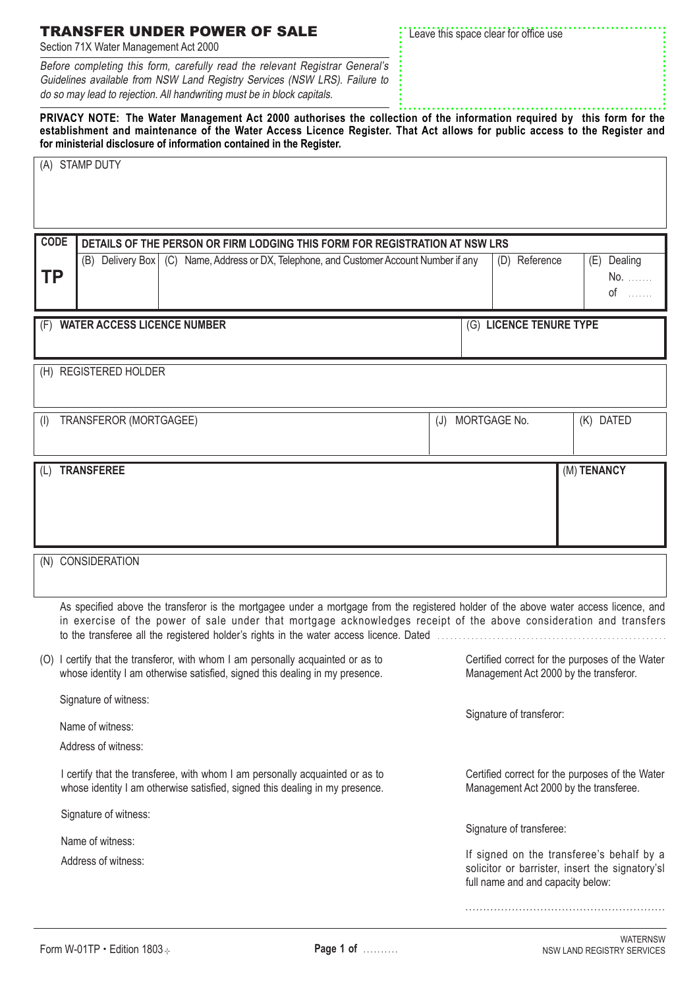| Section 71X Water Management Act 2000 |  |  |                                                        |  |  |  |  |  |
|---------------------------------------|--|--|--------------------------------------------------------|--|--|--|--|--|
|                                       |  |  | Before completing this form carefully read the relevar |  |  |  |  |  |

TRANSFER UNDER POWER OF SALE

Before completing this form, carefully read the relevant Registrar General's Guidelines available from NSW Land Registry Services (NSW LRS). Failure to do so may lead to rejection. All handwriting must be in block capitals.

**PRIVACY NOTE: The Water Management Act 2000 authorises the collection of the information required by this form for the establishment and maintenance of the Water Access Licence Register. That Act allows for public access to the Register and for ministerial disclosure of information contained in the Register.**

| (A) STAMP DUTY                                                                                                                                                                                                                                              |                                                                                                                                                                                         |                   |  |                                                                                           |                          |                                                                                                                                   |                         |  |                            |  |  |  |             |
|-------------------------------------------------------------------------------------------------------------------------------------------------------------------------------------------------------------------------------------------------------------|-----------------------------------------------------------------------------------------------------------------------------------------------------------------------------------------|-------------------|--|-------------------------------------------------------------------------------------------|--------------------------|-----------------------------------------------------------------------------------------------------------------------------------|-------------------------|--|----------------------------|--|--|--|-------------|
| ΤP                                                                                                                                                                                                                                                          | <b>CODE</b><br>DETAILS OF THE PERSON OR FIRM LODGING THIS FORM FOR REGISTRATION AT NSW LRS<br>(B) Delivery Box   (C) Name, Address or DX, Telephone, and Customer Account Number if any |                   |  |                                                                                           |                          |                                                                                                                                   | (D) Reference           |  | (E) Dealing<br>No.<br>$of$ |  |  |  |             |
| (F) WATER ACCESS LICENCE NUMBER                                                                                                                                                                                                                             |                                                                                                                                                                                         |                   |  |                                                                                           |                          |                                                                                                                                   | (G) LICENCE TENURE TYPE |  |                            |  |  |  |             |
| (H) REGISTERED HOLDER                                                                                                                                                                                                                                       |                                                                                                                                                                                         |                   |  |                                                                                           |                          |                                                                                                                                   |                         |  |                            |  |  |  |             |
| TRANSFEROR (MORTGAGEE)<br>(J)<br>(1)                                                                                                                                                                                                                        |                                                                                                                                                                                         |                   |  |                                                                                           |                          | MORTGAGE No.                                                                                                                      |                         |  | (K) DATED                  |  |  |  |             |
| (L)                                                                                                                                                                                                                                                         |                                                                                                                                                                                         | <b>TRANSFEREE</b> |  |                                                                                           |                          |                                                                                                                                   |                         |  |                            |  |  |  | (M) TENANCY |
|                                                                                                                                                                                                                                                             |                                                                                                                                                                                         | (N) CONSIDERATION |  |                                                                                           |                          |                                                                                                                                   |                         |  |                            |  |  |  |             |
| As specified above the transferor is the mortgagee under a mortgage from the registered holder of the above water access licence, and<br>in exercise of the power of sale under that mortgage acknowledges receipt of the above consideration and transfers |                                                                                                                                                                                         |                   |  |                                                                                           |                          |                                                                                                                                   |                         |  |                            |  |  |  |             |
|                                                                                                                                                                                                                                                             | (O) I certify that the transferor, with whom I am personally acquainted or as to<br>whose identity I am otherwise satisfied, signed this dealing in my presence.                        |                   |  |                                                                                           |                          | Certified correct for the purposes of the Water<br>Management Act 2000 by the transferor.                                         |                         |  |                            |  |  |  |             |
|                                                                                                                                                                                                                                                             | Signature of witness:<br>Name of witness:<br>Address of witness:                                                                                                                        |                   |  |                                                                                           | Signature of transferor: |                                                                                                                                   |                         |  |                            |  |  |  |             |
| I certify that the transferee, with whom I am personally acquainted or as to<br>whose identity I am otherwise satisfied, signed this dealing in my presence.                                                                                                |                                                                                                                                                                                         |                   |  | Certified correct for the purposes of the Water<br>Management Act 2000 by the transferee. |                          |                                                                                                                                   |                         |  |                            |  |  |  |             |
| Signature of witness:<br>Signature of transferee:                                                                                                                                                                                                           |                                                                                                                                                                                         |                   |  |                                                                                           |                          |                                                                                                                                   |                         |  |                            |  |  |  |             |
| Name of witness:<br>Address of witness:                                                                                                                                                                                                                     |                                                                                                                                                                                         |                   |  |                                                                                           |                          | If signed on the transferee's behalf by a<br>solicitor or barrister, insert the signatory'sl<br>full name and and capacity below: |                         |  |                            |  |  |  |             |
|                                                                                                                                                                                                                                                             |                                                                                                                                                                                         |                   |  |                                                                                           |                          |                                                                                                                                   |                         |  |                            |  |  |  |             |